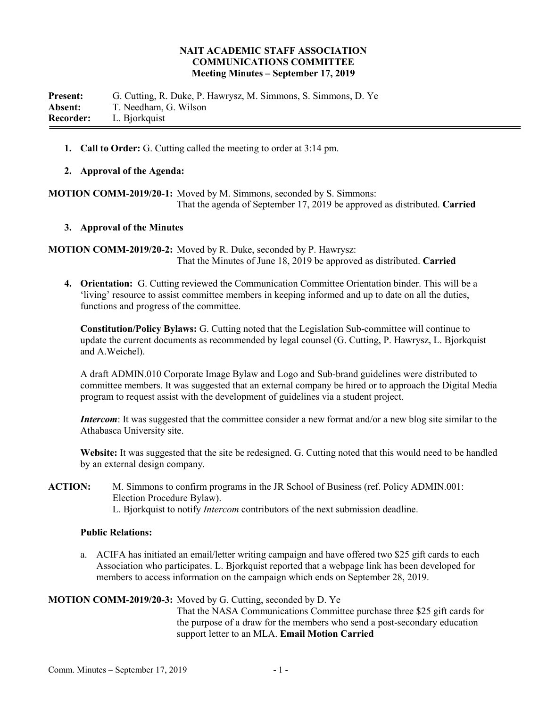#### **NAIT ACADEMIC STAFF ASSOCIATION COMMUNICATIONS COMMITTEE Meeting Minutes – September 17, 2019**

**Present:** G. Cutting, R. Duke, P. Hawrysz, M. Simmons, S. Simmons, D. Ye **Absent:** T. Needham, G. Wilson **Recorder:** L. Bjorkquist

**1. Call to Order:** G. Cutting called the meeting to order at 3:14 pm.

#### **2. Approval of the Agenda:**

**MOTION COMM-2019/20-1:** Moved by M. Simmons, seconded by S. Simmons: That the agenda of September 17, 2019 be approved as distributed. **Carried**

#### **3. Approval of the Minutes**

**MOTION COMM-2019/20-2:** Moved by R. Duke, seconded by P. Hawrysz: That the Minutes of June 18, 2019 be approved as distributed. **Carried**

**4. Orientation:** G. Cutting reviewed the Communication Committee Orientation binder. This will be a 'living' resource to assist committee members in keeping informed and up to date on all the duties, functions and progress of the committee.

**Constitution/Policy Bylaws:** G. Cutting noted that the Legislation Sub-committee will continue to update the current documents as recommended by legal counsel (G. Cutting, P. Hawrysz, L. Bjorkquist and A.Weichel).

A draft ADMIN.010 Corporate Image Bylaw and Logo and Sub-brand guidelines were distributed to committee members. It was suggested that an external company be hired or to approach the Digital Media program to request assist with the development of guidelines via a student project.

*Intercom*: It was suggested that the committee consider a new format and/or a new blog site similar to the Athabasca University site.

**Website:** It was suggested that the site be redesigned. G. Cutting noted that this would need to be handled by an external design company.

**ACTION:** M. Simmons to confirm programs in the JR School of Business (ref. Policy ADMIN.001: Election Procedure Bylaw). L. Bjorkquist to notify *Intercom* contributors of the next submission deadline.

#### **Public Relations:**

a. ACIFA has initiated an email/letter writing campaign and have offered two \$25 gift cards to each Association who participates. L. Bjorkquist reported that a webpage link has been developed for members to access information on the campaign which ends on September 28, 2019.

# **MOTION COMM-2019/20-3:** Moved by G. Cutting, seconded by D. Ye

That the NASA Communications Committee purchase three \$25 gift cards for the purpose of a draw for the members who send a post-secondary education support letter to an MLA. **Email Motion Carried**